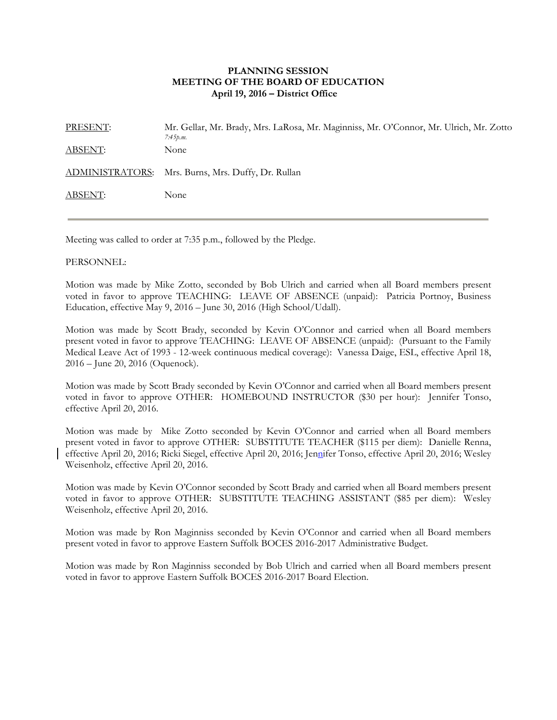## **PLANNING SESSION MEETING OF THE BOARD OF EDUCATION April 19, 2016 – District Office**

PRESENT: Mr. Gellar, Mr. Brady, Mrs. LaRosa, Mr. Maginniss, Mr. O'Connor, Mr. Ulrich, Mr. Zotto *7:45p.m.*  ABSENT: None ADMINISTRATORS: Mrs. Burns, Mrs. Duffy, Dr. Rullan ABSENT: None

Meeting was called to order at 7:35 p.m., followed by the Pledge.

## PERSONNEL:

Motion was made by Mike Zotto, seconded by Bob Ulrich and carried when all Board members present voted in favor to approve TEACHING: LEAVE OF ABSENCE (unpaid): Patricia Portnoy, Business Education, effective May 9, 2016 – June 30, 2016 (High School/Udall).

Motion was made by Scott Brady, seconded by Kevin O'Connor and carried when all Board members present voted in favor to approve TEACHING: LEAVE OF ABSENCE (unpaid): (Pursuant to the Family Medical Leave Act of 1993 - 12-week continuous medical coverage): Vanessa Daige, ESL, effective April 18, 2016 – June 20, 2016 (Oquenock).

Motion was made by Scott Brady seconded by Kevin O'Connor and carried when all Board members present voted in favor to approve OTHER: HOMEBOUND INSTRUCTOR (\$30 per hour): Jennifer Tonso, effective April 20, 2016.

Motion was made by Mike Zotto seconded by Kevin O'Connor and carried when all Board members present voted in favor to approve OTHER: SUBSTITUTE TEACHER (\$115 per diem): Danielle Renna, effective April 20, 2016; Ricki Siegel, effective April 20, 2016; Jennifer Tonso, effective April 20, 2016; Wesley Weisenholz, effective April 20, 2016.

Motion was made by Kevin O'Connor seconded by Scott Brady and carried when all Board members present voted in favor to approve OTHER: SUBSTITUTE TEACHING ASSISTANT (\$85 per diem): Wesley Weisenholz, effective April 20, 2016.

Motion was made by Ron Maginniss seconded by Kevin O'Connor and carried when all Board members present voted in favor to approve Eastern Suffolk BOCES 2016-2017 Administrative Budget.

Motion was made by Ron Maginniss seconded by Bob Ulrich and carried when all Board members present voted in favor to approve Eastern Suffolk BOCES 2016-2017 Board Election.